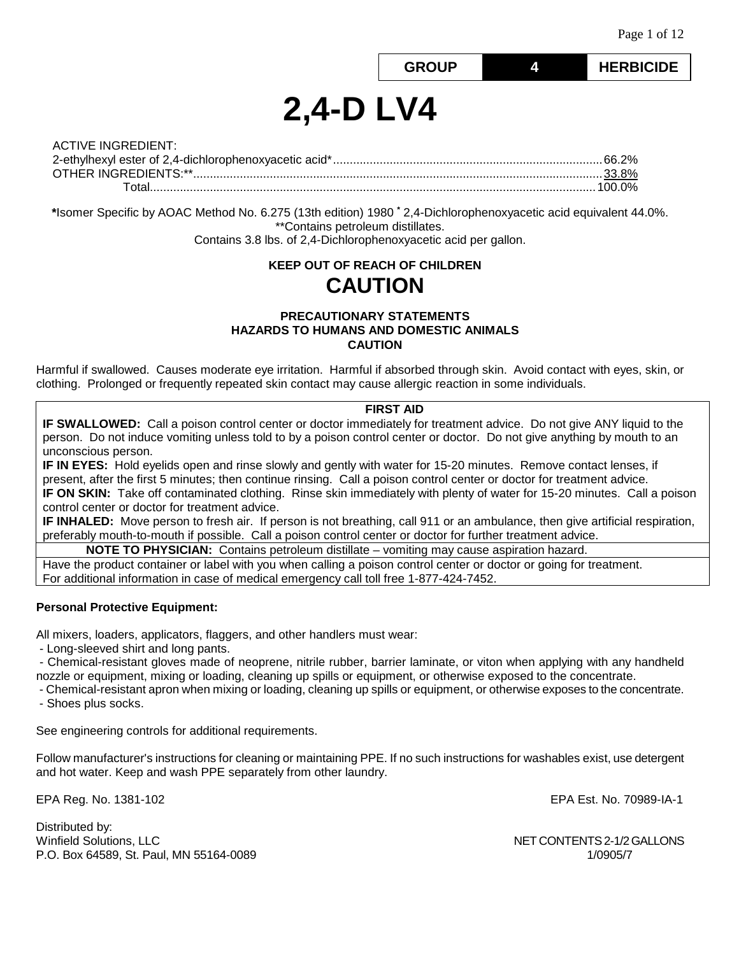**GROUP 4 HERBICIDE**

# **2,4-D LV4**

| <b>ACTIVE INGREDIENT:</b> |  |
|---------------------------|--|
|                           |  |
|                           |  |
|                           |  |

**\***Isomer Specific by AOAC Method No. 6.275 (13th edition) 1980 **\*** 2,4-Dichlorophenoxyacetic acid equivalent 44.0%. \*\*Contains petroleum distillates. Contains 3.8 lbs. of 2,4-Dichlorophenoxyacetic acid per gallon.

# **KEEP OUT OF REACH OF CHILDREN CAUTION**

## **PRECAUTIONARY STATEMENTS HAZARDS TO HUMANS AND DOMESTIC ANIMALS CAUTION**

Harmful if swallowed. Causes moderate eye irritation. Harmful if absorbed through skin. Avoid contact with eyes, skin, or clothing. Prolonged or frequently repeated skin contact may cause allergic reaction in some individuals.

## **FIRST AID**

**IF SWALLOWED:** Call a poison control center or doctor immediately for treatment advice. Do not give ANY liquid to the person. Do not induce vomiting unless told to by a poison control center or doctor. Do not give anything by mouth to an unconscious person.

**IF IN EYES:** Hold eyelids open and rinse slowly and gently with water for 15-20 minutes. Remove contact lenses, if present, after the first 5 minutes; then continue rinsing. Call a poison control center or doctor for treatment advice. **IF ON SKIN:** Take off contaminated clothing. Rinse skin immediately with plenty of water for 15-20 minutes. Call a poison control center or doctor for treatment advice.

**IF INHALED:** Move person to fresh air. If person is not breathing, call 911 or an ambulance, then give artificial respiration, preferably mouth-to-mouth if possible. Call a poison control center or doctor for further treatment advice.

**NOTE TO PHYSICIAN:** Contains petroleum distillate – vomiting may cause aspiration hazard.

Have the product container or label with you when calling a poison control center or doctor or going for treatment. For additional information in case of medical emergency call toll free 1-877-424-7452.

## **Personal Protective Equipment:**

All mixers, loaders, applicators, flaggers, and other handlers must wear:

- Long-sleeved shirt and long pants.

- Chemical-resistant gloves made of neoprene, nitrile rubber, barrier laminate, or viton when applying with any handheld nozzle or equipment, mixing or loading, cleaning up spills or equipment, or otherwise exposed to the concentrate.

- Chemical-resistant apron when mixing or loading, cleaning up spills or equipment, or otherwise exposes to the concentrate.

- Shoes plus socks.

See engineering controls for additional requirements.

Follow manufacturer's instructions for cleaning or maintaining PPE. If no such instructions for washables exist, use detergent and hot water. Keep and wash PPE separately from other laundry.

EPA Reg. No. 1381-102 EPA Est. No. 70989-IA-1

Distributed by: Winfield Solutions, LLC NET CONTENTS 2-1/2 GALLONS P.O. Box 64589, St. Paul, MN 55164-0089 1/0905/7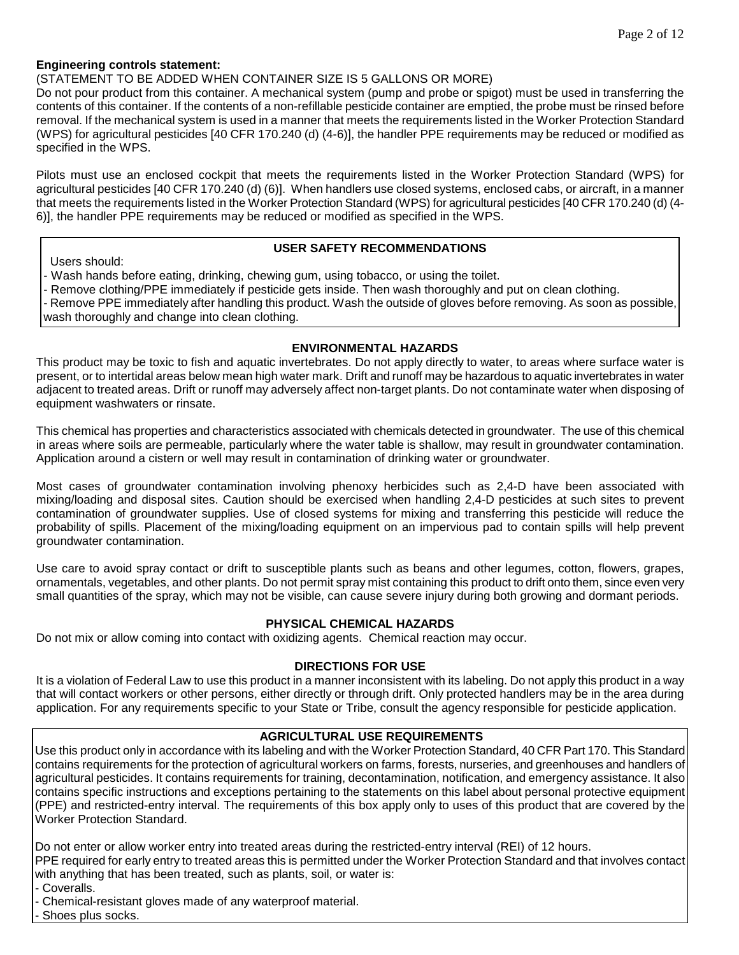## **Engineering controls statement:**

(STATEMENT TO BE ADDED WHEN CONTAINER SIZE IS 5 GALLONS OR MORE)

Do not pour product from this container. A mechanical system (pump and probe or spigot) must be used in transferring the contents of this container. If the contents of a non-refillable pesticide container are emptied, the probe must be rinsed before removal. If the mechanical system is used in a manner that meets the requirements listed in the Worker Protection Standard (WPS) for agricultural pesticides [40 CFR 170.240 (d) (4-6)], the handler PPE requirements may be reduced or modified as specified in the WPS.

Pilots must use an enclosed cockpit that meets the requirements listed in the Worker Protection Standard (WPS) for agricultural pesticides [40 CFR 170.240 (d) (6)]. When handlers use closed systems, enclosed cabs, or aircraft, in a manner that meets the requirements listed in the Worker Protection Standard (WPS) for agricultural pesticides [40 CFR 170.240 (d) (4- 6)], the handler PPE requirements may be reduced or modified as specified in the WPS.

Users should:

## **USER SAFETY RECOMMENDATIONS**

- Wash hands before eating, drinking, chewing gum, using tobacco, or using the toilet.

- Remove clothing/PPE immediately if pesticide gets inside. Then wash thoroughly and put on clean clothing.

- Remove PPE immediately after handling this product. Wash the outside of gloves before removing. As soon as possible, wash thoroughly and change into clean clothing.

## **ENVIRONMENTAL HAZARDS**

This product may be toxic to fish and aquatic invertebrates. Do not apply directly to water, to areas where surface water is present, or to intertidal areas below mean high water mark. Drift and runoff may be hazardous to aquatic invertebrates in water adjacent to treated areas. Drift or runoff may adversely affect non-target plants. Do not contaminate water when disposing of equipment washwaters or rinsate.

This chemical has properties and characteristics associated with chemicals detected in groundwater. The use of this chemical in areas where soils are permeable, particularly where the water table is shallow, may result in groundwater contamination. Application around a cistern or well may result in contamination of drinking water or groundwater.

Most cases of groundwater contamination involving phenoxy herbicides such as 2,4-D have been associated with mixing/loading and disposal sites. Caution should be exercised when handling 2,4-D pesticides at such sites to prevent contamination of groundwater supplies. Use of closed systems for mixing and transferring this pesticide will reduce the probability of spills. Placement of the mixing/loading equipment on an impervious pad to contain spills will help prevent groundwater contamination.

Use care to avoid spray contact or drift to susceptible plants such as beans and other legumes, cotton, flowers, grapes, ornamentals, vegetables, and other plants. Do not permit spray mist containing this product to drift onto them, since even very small quantities of the spray, which may not be visible, can cause severe injury during both growing and dormant periods.

## **PHYSICAL CHEMICAL HAZARDS**

Do not mix or allow coming into contact with oxidizing agents. Chemical reaction may occur.

#### **DIRECTIONS FOR USE**

It is a violation of Federal Law to use this product in a manner inconsistent with its labeling. Do not apply this product in a way that will contact workers or other persons, either directly or through drift. Only protected handlers may be in the area during application. For any requirements specific to your State or Tribe, consult the agency responsible for pesticide application.

## **AGRICULTURAL USE REQUIREMENTS**

Use this product only in accordance with its labeling and with the Worker Protection Standard, 40 CFR Part 170. This Standard contains requirements for the protection of agricultural workers on farms, forests, nurseries, and greenhouses and handlers of agricultural pesticides. It contains requirements for training, decontamination, notification, and emergency assistance. It also contains specific instructions and exceptions pertaining to the statements on this label about personal protective equipment (PPE) and restricted-entry interval. The requirements of this box apply only to uses of this product that are covered by the Worker Protection Standard.

Do not enter or allow worker entry into treated areas during the restricted-entry interval (REI) of 12 hours.

PPE required for early entry to treated areas this is permitted under the Worker Protection Standard and that involves contact with anything that has been treated, such as plants, soil, or water is:

- Coveralls.

- Chemical-resistant gloves made of any waterproof material.

- Shoes plus socks.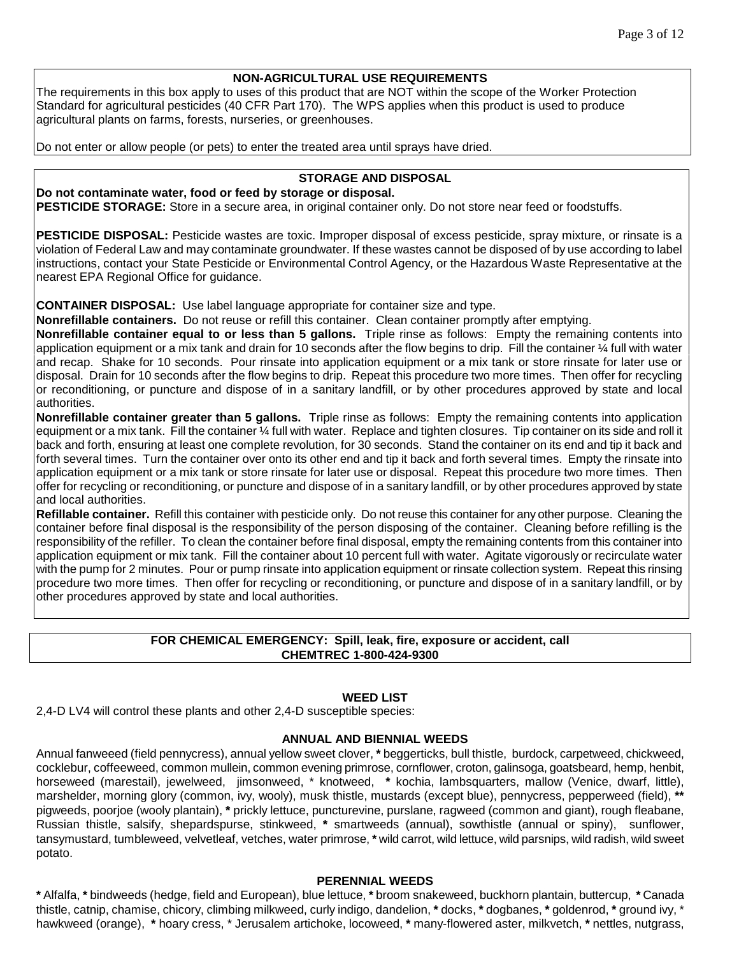## **NON-AGRICULTURAL USE REQUIREMENTS**

The requirements in this box apply to uses of this product that are NOT within the scope of the Worker Protection Standard for agricultural pesticides (40 CFR Part 170). The WPS applies when this product is used to produce agricultural plants on farms, forests, nurseries, or greenhouses.

Do not enter or allow people (or pets) to enter the treated area until sprays have dried.

## **STORAGE AND DISPOSAL**

# **Do not contaminate water, food or feed by storage or disposal.**

**PESTICIDE STORAGE:** Store in a secure area, in original container only. Do not store near feed or foodstuffs.

**PESTICIDE DISPOSAL:** Pesticide wastes are toxic. Improper disposal of excess pesticide, spray mixture, or rinsate is a violation of Federal Law and may contaminate groundwater. If these wastes cannot be disposed of by use according to label instructions, contact your State Pesticide or Environmental Control Agency, or the Hazardous Waste Representative at the nearest EPA Regional Office for guidance.

**CONTAINER DISPOSAL:** Use label language appropriate for container size and type.

**Nonrefillable containers.** Do not reuse or refill this container. Clean container promptly after emptying.

**Nonrefillable container equal to or less than 5 gallons.** Triple rinse as follows: Empty the remaining contents into application equipment or a mix tank and drain for 10 seconds after the flow begins to drip. Fill the container ¼ full with water and recap. Shake for 10 seconds. Pour rinsate into application equipment or a mix tank or store rinsate for later use or disposal. Drain for 10 seconds after the flow begins to drip. Repeat this procedure two more times. Then offer for recycling or reconditioning, or puncture and dispose of in a sanitary landfill, or by other procedures approved by state and local authorities.

**Nonrefillable container greater than 5 gallons.** Triple rinse as follows: Empty the remaining contents into application equipment or a mix tank. Fill the container 1/4 full with water. Replace and tighten closures. Tip container on its side and roll it back and forth, ensuring at least one complete revolution, for 30 seconds. Stand the container on its end and tip it back and forth several times. Turn the container over onto its other end and tip it back and forth several times. Empty the rinsate into application equipment or a mix tank or store rinsate for later use or disposal. Repeat this procedure two more times. Then offer for recycling or reconditioning, or puncture and dispose of in a sanitary landfill, or by other procedures approved by state and local authorities.

**Refillable container.** Refill this container with pesticide only. Do not reuse this container for any other purpose. Cleaning the container before final disposal is the responsibility of the person disposing of the container. Cleaning before refilling is the responsibility of the refiller. To clean the container before final disposal, empty the remaining contents from this container into application equipment or mix tank. Fill the container about 10 percent full with water. Agitate vigorously or recirculate water with the pump for 2 minutes. Pour or pump rinsate into application equipment or rinsate collection system. Repeat this rinsing procedure two more times. Then offer for recycling or reconditioning, or puncture and dispose of in a sanitary landfill, or by other procedures approved by state and local authorities.

## **FOR CHEMICAL EMERGENCY: Spill, leak, fire, exposure or accident, call CHEMTREC 1-800-424-9300**

## **WEED LIST**

2,4-D LV4 will control these plants and other 2,4-D susceptible species:

#### **ANNUAL AND BIENNIAL WEEDS**

Annual fanweeed (field pennycress), annual yellow sweet clover, **\*** beggerticks, bull thistle, burdock, carpetweed, chickweed, cocklebur, coffeeweed, common mullein, common evening primrose, cornflower, croton, galinsoga, goatsbeard, hemp, henbit, horseweed (marestail), jewelweed, jimsonweed, \* knotweed, **\*** kochia, lambsquarters, mallow (Venice, dwarf, little), marshelder, morning glory (common, ivy, wooly), musk thistle, mustards (except blue), pennycress, pepperweed (field), **\*\***  pigweeds, poorjoe (wooly plantain), **\*** prickly lettuce, puncturevine, purslane, ragweed (common and giant), rough fleabane, Russian thistle, salsify, shepardspurse, stinkweed, **\*** smartweeds (annual), sowthistle (annual or spiny), sunflower, tansymustard, tumbleweed, velvetleaf, vetches, water primrose, **\*** wild carrot, wild lettuce, wild parsnips, wild radish, wild sweet potato.

#### **PERENNIAL WEEDS**

**\*** Alfalfa, **\*** bindweeds (hedge, field and European), blue lettuce, **\*** broom snakeweed, buckhorn plantain, buttercup, **\*** Canada thistle, catnip, chamise, chicory, climbing milkweed, curly indigo, dandelion, **\*** docks, **\*** dogbanes, **\*** goldenrod, **\*** ground ivy, \* hawkweed (orange), **\*** hoary cress, \* Jerusalem artichoke, locoweed, **\*** many-flowered aster, milkvetch, **\*** nettles, nutgrass,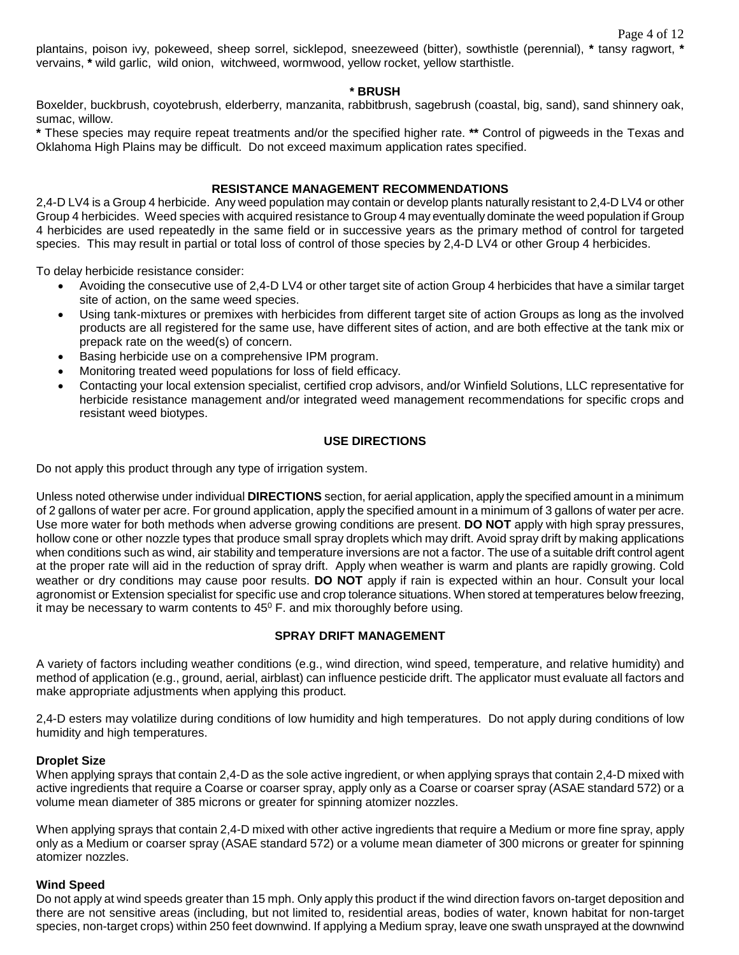plantains, poison ivy, pokeweed, sheep sorrel, sicklepod, sneezeweed (bitter), sowthistle (perennial), **\*** tansy ragwort, **\*** vervains, **\*** wild garlic, wild onion, witchweed, wormwood, yellow rocket, yellow starthistle.

#### **\* BRUSH**

Boxelder, buckbrush, coyotebrush, elderberry, manzanita, rabbitbrush, sagebrush (coastal, big, sand), sand shinnery oak, sumac, willow.

**\*** These species may require repeat treatments and/or the specified higher rate. **\*\*** Control of pigweeds in the Texas and Oklahoma High Plains may be difficult. Do not exceed maximum application rates specified.

### **RESISTANCE MANAGEMENT RECOMMENDATIONS**

2,4-D LV4 is a Group 4 herbicide. Any weed population may contain or develop plants naturally resistant to 2,4-D LV4 or other Group 4 herbicides. Weed species with acquired resistance to Group 4 may eventually dominate the weed population if Group 4 herbicides are used repeatedly in the same field or in successive years as the primary method of control for targeted species. This may result in partial or total loss of control of those species by 2,4-D LV4 or other Group 4 herbicides.

To delay herbicide resistance consider:

- Avoiding the consecutive use of 2,4-D LV4 or other target site of action Group 4 herbicides that have a similar target site of action, on the same weed species.
- Using tank-mixtures or premixes with herbicides from different target site of action Groups as long as the involved products are all registered for the same use, have different sites of action, and are both effective at the tank mix or prepack rate on the weed(s) of concern.
- Basing herbicide use on a comprehensive IPM program.
- Monitoring treated weed populations for loss of field efficacy.
- Contacting your local extension specialist, certified crop advisors, and/or Winfield Solutions, LLC representative for herbicide resistance management and/or integrated weed management recommendations for specific crops and resistant weed biotypes.

#### **USE DIRECTIONS**

Do not apply this product through any type of irrigation system.

Unless noted otherwise under individual **DIRECTIONS** section, for aerial application, apply the specified amount in a minimum of 2 gallons of water per acre. For ground application, apply the specified amount in a minimum of 3 gallons of water per acre. Use more water for both methods when adverse growing conditions are present. **DO NOT** apply with high spray pressures, hollow cone or other nozzle types that produce small spray droplets which may drift. Avoid spray drift by making applications when conditions such as wind, air stability and temperature inversions are not a factor. The use of a suitable drift control agent at the proper rate will aid in the reduction of spray drift. Apply when weather is warm and plants are rapidly growing. Cold weather or dry conditions may cause poor results. **DO NOT** apply if rain is expected within an hour. Consult your local agronomist or Extension specialist for specific use and crop tolerance situations. When stored at temperatures below freezing, it may be necessary to warm contents to  $45^{\circ}$  F. and mix thoroughly before using.

## **SPRAY DRIFT MANAGEMENT**

A variety of factors including weather conditions (e.g., wind direction, wind speed, temperature, and relative humidity) and method of application (e.g., ground, aerial, airblast) can influence pesticide drift. The applicator must evaluate all factors and make appropriate adjustments when applying this product.

2,4-D esters may volatilize during conditions of low humidity and high temperatures. Do not apply during conditions of low humidity and high temperatures.

#### **Droplet Size**

When applying sprays that contain 2,4-D as the sole active ingredient, or when applying sprays that contain 2,4-D mixed with active ingredients that require a Coarse or coarser spray, apply only as a Coarse or coarser spray (ASAE standard 572) or a volume mean diameter of 385 microns or greater for spinning atomizer nozzles.

When applying sprays that contain 2,4-D mixed with other active ingredients that require a Medium or more fine spray, apply only as a Medium or coarser spray (ASAE standard 572) or a volume mean diameter of 300 microns or greater for spinning atomizer nozzles.

#### **Wind Speed**

Do not apply at wind speeds greater than 15 mph. Only apply this product if the wind direction favors on-target deposition and there are not sensitive areas (including, but not limited to, residential areas, bodies of water, known habitat for non-target species, non-target crops) within 250 feet downwind. If applying a Medium spray, leave one swath unsprayed at the downwind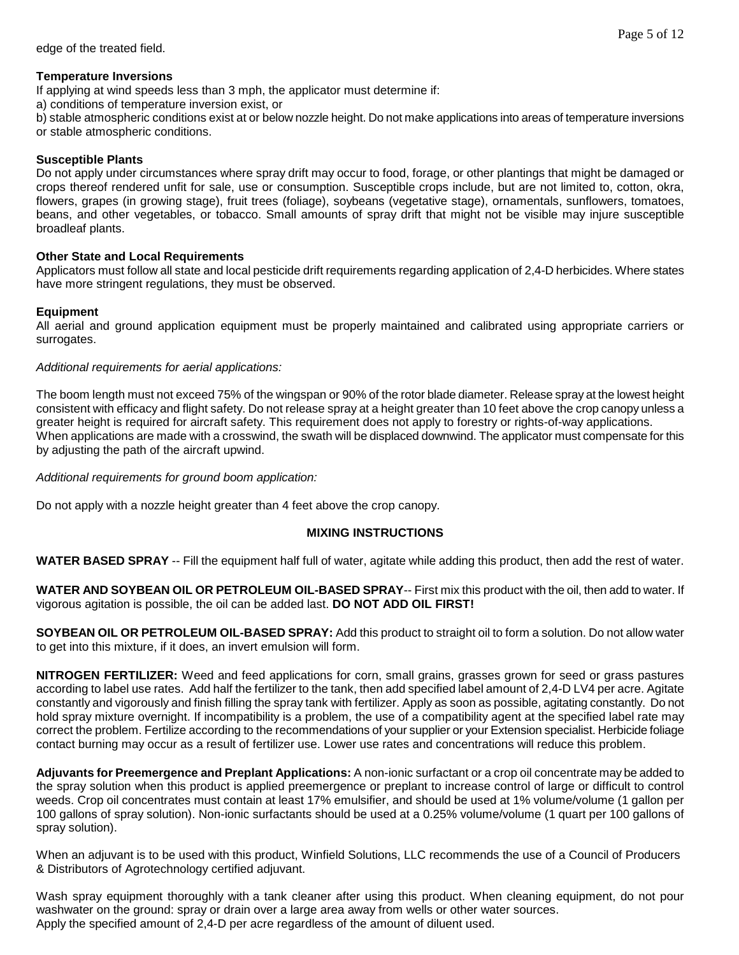#### Page 5 of 12

### **Temperature Inversions**

If applying at wind speeds less than 3 mph, the applicator must determine if:

a) conditions of temperature inversion exist, or

b) stable atmospheric conditions exist at or below nozzle height. Do not make applications into areas of temperature inversions or stable atmospheric conditions.

### **Susceptible Plants**

Do not apply under circumstances where spray drift may occur to food, forage, or other plantings that might be damaged or crops thereof rendered unfit for sale, use or consumption. Susceptible crops include, but are not limited to, cotton, okra, flowers, grapes (in growing stage), fruit trees (foliage), soybeans (vegetative stage), ornamentals, sunflowers, tomatoes, beans, and other vegetables, or tobacco. Small amounts of spray drift that might not be visible may injure susceptible broadleaf plants.

## **Other State and Local Requirements**

Applicators must follow all state and local pesticide drift requirements regarding application of 2,4-D herbicides. Where states have more stringent regulations, they must be observed.

## **Equipment**

All aerial and ground application equipment must be properly maintained and calibrated using appropriate carriers or surrogates.

#### *Additional requirements for aerial applications:*

The boom length must not exceed 75% of the wingspan or 90% of the rotor blade diameter. Release spray at the lowest height consistent with efficacy and flight safety. Do not release spray at a height greater than 10 feet above the crop canopy unless a greater height is required for aircraft safety. This requirement does not apply to forestry or rights-of-way applications. When applications are made with a crosswind, the swath will be displaced downwind. The applicator must compensate for this by adjusting the path of the aircraft upwind.

*Additional requirements for ground boom application:*

Do not apply with a nozzle height greater than 4 feet above the crop canopy.

## **MIXING INSTRUCTIONS**

**WATER BASED SPRAY** -- Fill the equipment half full of water, agitate while adding this product, then add the rest of water.

**WATER AND SOYBEAN OIL OR PETROLEUM OIL-BASED SPRAY**-- First mix this product with the oil, then add to water. If vigorous agitation is possible, the oil can be added last. **DO NOT ADD OIL FIRST!**

**SOYBEAN OIL OR PETROLEUM OIL-BASED SPRAY:** Add this product to straight oil to form a solution. Do not allow water to get into this mixture, if it does, an invert emulsion will form.

**NITROGEN FERTILIZER:** Weed and feed applications for corn, small grains, grasses grown for seed or grass pastures according to label use rates. Add half the fertilizer to the tank, then add specified label amount of 2,4-D LV4 per acre. Agitate constantly and vigorously and finish filling the spray tank with fertilizer. Apply as soon as possible, agitating constantly. Do not hold spray mixture overnight. If incompatibility is a problem, the use of a compatibility agent at the specified label rate may correct the problem. Fertilize according to the recommendations of your supplier or your Extension specialist. Herbicide foliage contact burning may occur as a result of fertilizer use. Lower use rates and concentrations will reduce this problem.

**Adjuvants for Preemergence and Preplant Applications:** A non-ionic surfactant or a crop oil concentrate may be added to the spray solution when this product is applied preemergence or preplant to increase control of large or difficult to control weeds. Crop oil concentrates must contain at least 17% emulsifier, and should be used at 1% volume/volume (1 gallon per 100 gallons of spray solution). Non-ionic surfactants should be used at a 0.25% volume/volume (1 quart per 100 gallons of spray solution).

When an adjuvant is to be used with this product, Winfield Solutions, LLC recommends the use of a Council of Producers & Distributors of Agrotechnology certified adjuvant.

Wash spray equipment thoroughly with a tank cleaner after using this product. When cleaning equipment, do not pour washwater on the ground: spray or drain over a large area away from wells or other water sources. Apply the specified amount of 2,4-D per acre regardless of the amount of diluent used.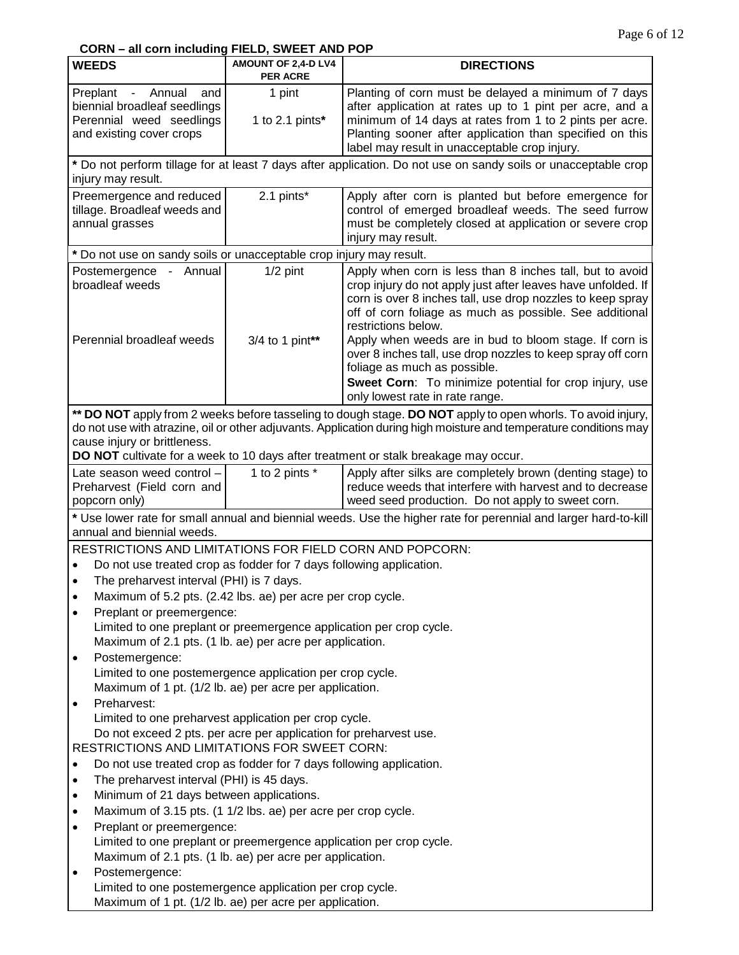# **CORN – all corn including FIELD, SWEET AND POP**

| <b>WEEDS</b>                                                                                                                                  | AMOUNT OF 2,4-D LV4<br><b>PER ACRE</b>                            | <b>DIRECTIONS</b>                                                                                                                                                                                                                                                                                                                                                                                                                                                                                                              |  |
|-----------------------------------------------------------------------------------------------------------------------------------------------|-------------------------------------------------------------------|--------------------------------------------------------------------------------------------------------------------------------------------------------------------------------------------------------------------------------------------------------------------------------------------------------------------------------------------------------------------------------------------------------------------------------------------------------------------------------------------------------------------------------|--|
| Preplant - Annual<br>and<br>biennial broadleaf seedlings<br>Perennial weed seedlings<br>and existing cover crops                              | 1 pint<br>1 to 2.1 pints*                                         | Planting of corn must be delayed a minimum of 7 days<br>after application at rates up to 1 pint per acre, and a<br>minimum of 14 days at rates from 1 to 2 pints per acre.<br>Planting sooner after application than specified on this<br>label may result in unacceptable crop injury.                                                                                                                                                                                                                                        |  |
| injury may result.                                                                                                                            |                                                                   | * Do not perform tillage for at least 7 days after application. Do not use on sandy soils or unacceptable crop                                                                                                                                                                                                                                                                                                                                                                                                                 |  |
| Preemergence and reduced<br>tillage. Broadleaf weeds and<br>annual grasses                                                                    | 2.1 pints*                                                        | Apply after corn is planted but before emergence for<br>control of emerged broadleaf weeds. The seed furrow<br>must be completely closed at application or severe crop<br>injury may result.                                                                                                                                                                                                                                                                                                                                   |  |
| * Do not use on sandy soils or unacceptable crop injury may result.                                                                           |                                                                   |                                                                                                                                                                                                                                                                                                                                                                                                                                                                                                                                |  |
| Postemergence - Annual<br>broadleaf weeds<br>Perennial broadleaf weeds                                                                        | $1/2$ pint<br>3/4 to 1 pint**                                     | Apply when corn is less than 8 inches tall, but to avoid<br>crop injury do not apply just after leaves have unfolded. If<br>corn is over 8 inches tall, use drop nozzles to keep spray<br>off of corn foliage as much as possible. See additional<br>restrictions below.<br>Apply when weeds are in bud to bloom stage. If corn is<br>over 8 inches tall, use drop nozzles to keep spray off corn<br>foliage as much as possible.<br>Sweet Corn: To minimize potential for crop injury, use<br>only lowest rate in rate range. |  |
|                                                                                                                                               |                                                                   | ** DO NOT apply from 2 weeks before tasseling to dough stage. DO NOT apply to open whorls. To avoid injury,                                                                                                                                                                                                                                                                                                                                                                                                                    |  |
| cause injury or brittleness.                                                                                                                  |                                                                   | do not use with atrazine, oil or other adjuvants. Application during high moisture and temperature conditions may                                                                                                                                                                                                                                                                                                                                                                                                              |  |
|                                                                                                                                               |                                                                   | DO NOT cultivate for a week to 10 days after treatment or stalk breakage may occur.                                                                                                                                                                                                                                                                                                                                                                                                                                            |  |
| Late season weed control -                                                                                                                    | 1 to 2 pints *                                                    | Apply after silks are completely brown (denting stage) to                                                                                                                                                                                                                                                                                                                                                                                                                                                                      |  |
| Preharvest (Field corn and<br>popcorn only)                                                                                                   |                                                                   | reduce weeds that interfere with harvest and to decrease<br>weed seed production. Do not apply to sweet corn.                                                                                                                                                                                                                                                                                                                                                                                                                  |  |
|                                                                                                                                               |                                                                   |                                                                                                                                                                                                                                                                                                                                                                                                                                                                                                                                |  |
| * Use lower rate for small annual and biennial weeds. Use the higher rate for perennial and larger hard-to-kill<br>annual and biennial weeds. |                                                                   |                                                                                                                                                                                                                                                                                                                                                                                                                                                                                                                                |  |
| RESTRICTIONS AND LIMITATIONS FOR FIELD CORN AND POPCORN:                                                                                      |                                                                   |                                                                                                                                                                                                                                                                                                                                                                                                                                                                                                                                |  |
| Do not use treated crop as fodder for 7 days following application.                                                                           |                                                                   |                                                                                                                                                                                                                                                                                                                                                                                                                                                                                                                                |  |
| The preharvest interval (PHI) is 7 days.                                                                                                      |                                                                   |                                                                                                                                                                                                                                                                                                                                                                                                                                                                                                                                |  |
| Maximum of 5.2 pts. (2.42 lbs. ae) per acre per crop cycle.                                                                                   |                                                                   |                                                                                                                                                                                                                                                                                                                                                                                                                                                                                                                                |  |
| Preplant or preemergence:<br>$\bullet$                                                                                                        |                                                                   |                                                                                                                                                                                                                                                                                                                                                                                                                                                                                                                                |  |
| Limited to one preplant or preemergence application per crop cycle.                                                                           |                                                                   |                                                                                                                                                                                                                                                                                                                                                                                                                                                                                                                                |  |
| Maximum of 2.1 pts. (1 lb. ae) per acre per application.                                                                                      |                                                                   |                                                                                                                                                                                                                                                                                                                                                                                                                                                                                                                                |  |
| Postemergence:<br>$\bullet$<br>Limited to one postemergence application per crop cycle.                                                       |                                                                   |                                                                                                                                                                                                                                                                                                                                                                                                                                                                                                                                |  |
| Maximum of 1 pt. (1/2 lb. ae) per acre per application.                                                                                       |                                                                   |                                                                                                                                                                                                                                                                                                                                                                                                                                                                                                                                |  |
| Preharvest:                                                                                                                                   |                                                                   |                                                                                                                                                                                                                                                                                                                                                                                                                                                                                                                                |  |
| Limited to one preharvest application per crop cycle.                                                                                         |                                                                   |                                                                                                                                                                                                                                                                                                                                                                                                                                                                                                                                |  |
|                                                                                                                                               | Do not exceed 2 pts. per acre per application for preharvest use. |                                                                                                                                                                                                                                                                                                                                                                                                                                                                                                                                |  |
| RESTRICTIONS AND LIMITATIONS FOR SWEET CORN:                                                                                                  |                                                                   |                                                                                                                                                                                                                                                                                                                                                                                                                                                                                                                                |  |
| Do not use treated crop as fodder for 7 days following application.<br>$\bullet$<br>The preharvest interval (PHI) is 45 days.                 |                                                                   |                                                                                                                                                                                                                                                                                                                                                                                                                                                                                                                                |  |
| $\bullet$<br>Minimum of 21 days between applications.<br>$\bullet$                                                                            |                                                                   |                                                                                                                                                                                                                                                                                                                                                                                                                                                                                                                                |  |
| Maximum of 3.15 pts. (1 1/2 lbs. ae) per acre per crop cycle.<br>$\bullet$                                                                    |                                                                   |                                                                                                                                                                                                                                                                                                                                                                                                                                                                                                                                |  |
| Preplant or preemergence:<br>$\bullet$                                                                                                        |                                                                   |                                                                                                                                                                                                                                                                                                                                                                                                                                                                                                                                |  |
| Limited to one preplant or preemergence application per crop cycle.                                                                           |                                                                   |                                                                                                                                                                                                                                                                                                                                                                                                                                                                                                                                |  |
| Maximum of 2.1 pts. (1 lb. ae) per acre per application.                                                                                      |                                                                   |                                                                                                                                                                                                                                                                                                                                                                                                                                                                                                                                |  |
| Postemergence:<br>$\bullet$                                                                                                                   |                                                                   |                                                                                                                                                                                                                                                                                                                                                                                                                                                                                                                                |  |
| Limited to one postemergence application per crop cycle.<br>Maximum of 1 pt. (1/2 lb. ae) per acre per application.                           |                                                                   |                                                                                                                                                                                                                                                                                                                                                                                                                                                                                                                                |  |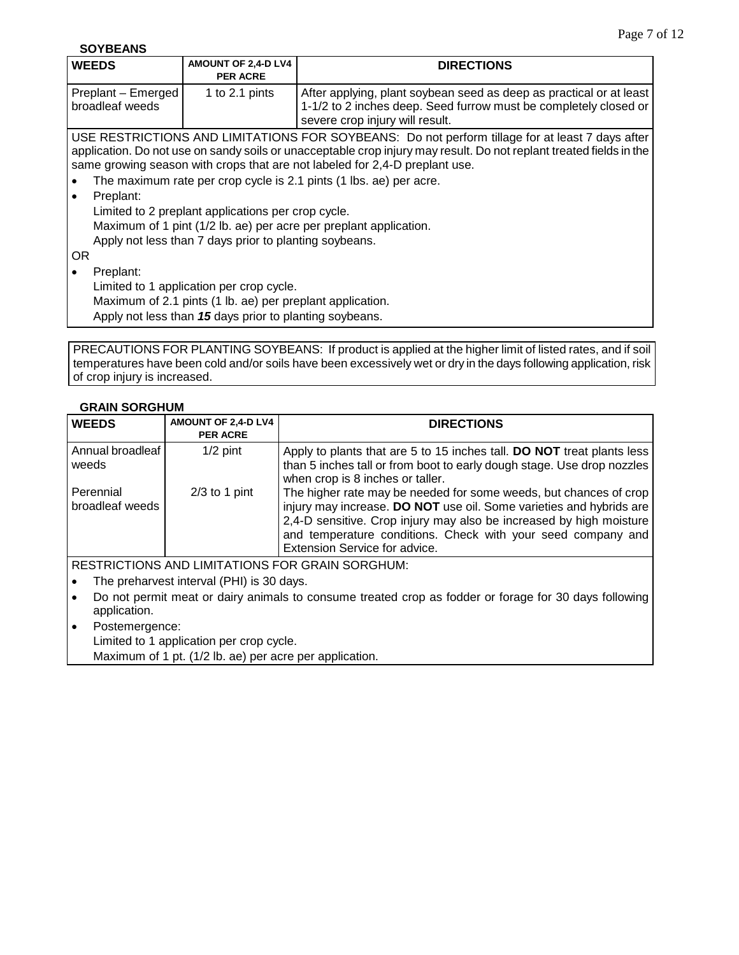**SOYBEANS**

| <b>WEEDS</b>                                                      | AMOUNT OF 2,4-D LV4<br><b>PER ACRE</b>                    | <b>DIRECTIONS</b>                                                                                                                                                                                  |  |
|-------------------------------------------------------------------|-----------------------------------------------------------|----------------------------------------------------------------------------------------------------------------------------------------------------------------------------------------------------|--|
| Preplant - Emerged<br>broadleaf weeds                             | 1 to 2.1 pints                                            | After applying, plant soybean seed as deep as practical or at least<br>1-1/2 to 2 inches deep. Seed furrow must be completely closed or                                                            |  |
|                                                                   |                                                           | severe crop injury will result.                                                                                                                                                                    |  |
|                                                                   |                                                           | USE RESTRICTIONS AND LIMITATIONS FOR SOYBEANS: Do not perform tillage for at least 7 days after                                                                                                    |  |
|                                                                   |                                                           | application. Do not use on sandy soils or unacceptable crop injury may result. Do not replant treated fields in the<br>same growing season with crops that are not labeled for 2,4-D preplant use. |  |
|                                                                   |                                                           | The maximum rate per crop cycle is 2.1 pints (1 lbs. ae) per acre.                                                                                                                                 |  |
| Preplant:                                                         |                                                           |                                                                                                                                                                                                    |  |
| Limited to 2 preplant applications per crop cycle.                |                                                           |                                                                                                                                                                                                    |  |
| Maximum of 1 pint (1/2 lb. ae) per acre per preplant application. |                                                           |                                                                                                                                                                                                    |  |
| Apply not less than 7 days prior to planting soybeans.            |                                                           |                                                                                                                                                                                                    |  |
| OR.                                                               |                                                           |                                                                                                                                                                                                    |  |
| Preplant:                                                         |                                                           |                                                                                                                                                                                                    |  |
| Limited to 1 application per crop cycle.                          |                                                           |                                                                                                                                                                                                    |  |
|                                                                   | Maximum of 2.1 pints (1 lb. ae) per preplant application. |                                                                                                                                                                                                    |  |
|                                                                   | Apply not less than 15 days prior to planting soybeans.   |                                                                                                                                                                                                    |  |
|                                                                   |                                                           |                                                                                                                                                                                                    |  |

PRECAUTIONS FOR PLANTING SOYBEANS: If product is applied at the higher limit of listed rates, and if soil temperatures have been cold and/or soils have been excessively wet or dry in the days following application, risk of crop injury is increased.

## **GRAIN SORGHUM**

| <b>WEEDS</b>                 | AMOUNT OF 2,4-D LV4<br><b>PER ACRE</b> | <b>DIRECTIONS</b>                                                                                                                                                                                                                                                                                                |
|------------------------------|----------------------------------------|------------------------------------------------------------------------------------------------------------------------------------------------------------------------------------------------------------------------------------------------------------------------------------------------------------------|
| Annual broadleaf<br>weeds    | $1/2$ pint                             | Apply to plants that are 5 to 15 inches tall. DO NOT treat plants less<br>than 5 inches tall or from boot to early dough stage. Use drop nozzles<br>when crop is 8 inches or taller.                                                                                                                             |
| Perennial<br>broadleaf weeds | $2/3$ to 1 pint                        | The higher rate may be needed for some weeds, but chances of crop<br>injury may increase. DO NOT use oil. Some varieties and hybrids are<br>2,4-D sensitive. Crop injury may also be increased by high moisture<br>and temperature conditions. Check with your seed company and<br>Extension Service for advice. |
|                              |                                        | <b>RESTRICTIONS AND LIMITATIONS FOR GRAIN SORGHUM:</b>                                                                                                                                                                                                                                                           |

• The preharvest interval (PHI) is 30 days.

- Do not permit meat or dairy animals to consume treated crop as fodder or forage for 30 days following application.
- Postemergence:

Limited to 1 application per crop cycle.

Maximum of 1 pt. (1/2 lb. ae) per acre per application.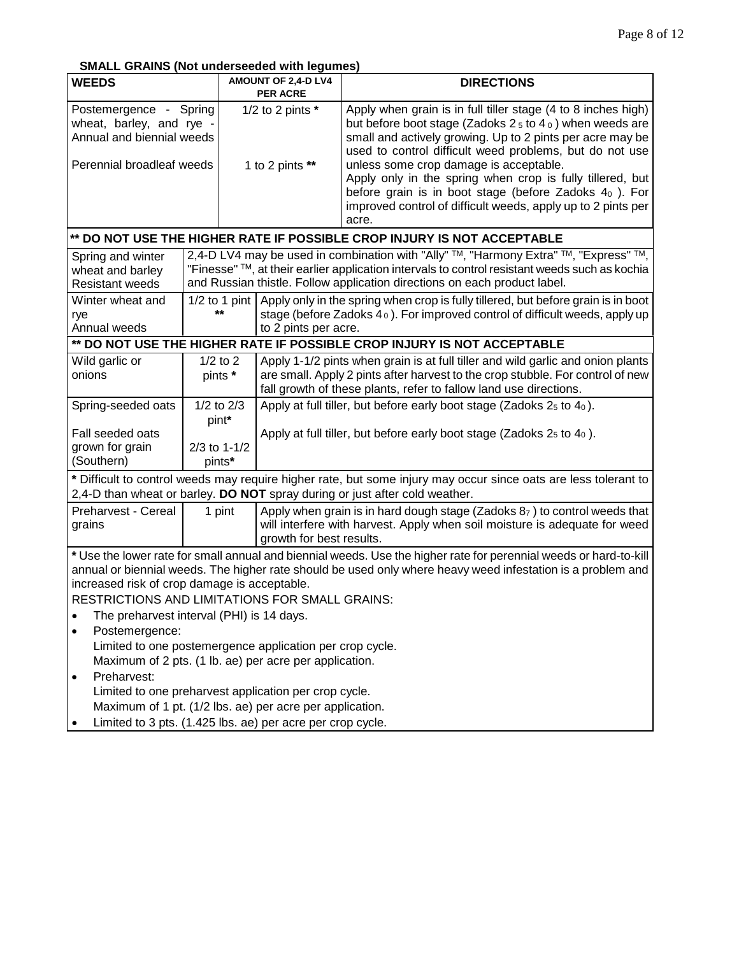**SMALL GRAINS (Not underseeded with legumes)**

| <b>WEEDS</b>                                                                                                                                                                                                                                                                                                                              |                                                                                                                                                                                                | $\sim$ 0.000 0.000 0.000 0.0000 0.000 0.000 0.000<br>AMOUNT OF 2,4-D LV4 |                          | <b>DIRECTIONS</b>                                                                                                                                                                                                                                                                                                                                                                                                                                                                                |
|-------------------------------------------------------------------------------------------------------------------------------------------------------------------------------------------------------------------------------------------------------------------------------------------------------------------------------------------|------------------------------------------------------------------------------------------------------------------------------------------------------------------------------------------------|--------------------------------------------------------------------------|--------------------------|--------------------------------------------------------------------------------------------------------------------------------------------------------------------------------------------------------------------------------------------------------------------------------------------------------------------------------------------------------------------------------------------------------------------------------------------------------------------------------------------------|
| Postemergence - Spring<br>wheat, barley, and rye -<br>Annual and biennial weeds<br>Perennial broadleaf weeds                                                                                                                                                                                                                              |                                                                                                                                                                                                | <b>PER ACRE</b><br>1/2 to 2 pints $*$<br>1 to 2 pints **                 |                          | Apply when grain is in full tiller stage (4 to 8 inches high)<br>but before boot stage (Zadoks $25$ to $40$ ) when weeds are<br>small and actively growing. Up to 2 pints per acre may be<br>used to control difficult weed problems, but do not use<br>unless some crop damage is acceptable.<br>Apply only in the spring when crop is fully tillered, but<br>before grain is in boot stage (before Zadoks $40$ ). For<br>improved control of difficult weeds, apply up to 2 pints per<br>acre. |
|                                                                                                                                                                                                                                                                                                                                           |                                                                                                                                                                                                |                                                                          |                          | ** DO NOT USE THE HIGHER RATE IF POSSIBLE CROP INJURY IS NOT ACCEPTABLE                                                                                                                                                                                                                                                                                                                                                                                                                          |
| Spring and winter<br>wheat and barley<br><b>Resistant weeds</b><br>Winter wheat and<br>rye                                                                                                                                                                                                                                                |                                                                                                                                                                                                | $1/2$ to 1 pint<br>$***$                                                 |                          | 2,4-D LV4 may be used in combination with "Ally" ™, "Harmony Extra" ™, "Express" ™,<br>"Finesse" TM, at their earlier application intervals to control resistant weeds such as kochia<br>and Russian thistle. Follow application directions on each product label.<br>Apply only in the spring when crop is fully tillered, but before grain is in boot<br>stage (before Zadoks $4_0$ ). For improved control of difficult weeds, apply up                                                       |
| Annual weeds                                                                                                                                                                                                                                                                                                                              |                                                                                                                                                                                                |                                                                          | to 2 pints per acre.     | ** DO NOT USE THE HIGHER RATE IF POSSIBLE CROP INJURY IS NOT ACCEPTABLE                                                                                                                                                                                                                                                                                                                                                                                                                          |
| Wild garlic or                                                                                                                                                                                                                                                                                                                            |                                                                                                                                                                                                | $1/2$ to $2$                                                             |                          | Apply 1-1/2 pints when grain is at full tiller and wild garlic and onion plants                                                                                                                                                                                                                                                                                                                                                                                                                  |
| onions                                                                                                                                                                                                                                                                                                                                    |                                                                                                                                                                                                | pints *                                                                  |                          | are small. Apply 2 pints after harvest to the crop stubble. For control of new<br>fall growth of these plants, refer to fallow land use directions.                                                                                                                                                                                                                                                                                                                                              |
| Spring-seeded oats                                                                                                                                                                                                                                                                                                                        |                                                                                                                                                                                                | $1/2$ to $2/3$<br>pint*                                                  |                          | Apply at full tiller, but before early boot stage (Zadoks $25$ to $40$ ).                                                                                                                                                                                                                                                                                                                                                                                                                        |
| Fall seeded oats<br>grown for grain<br>(Southern)                                                                                                                                                                                                                                                                                         |                                                                                                                                                                                                | $2/3$ to 1-1/2<br>pints*                                                 |                          | Apply at full tiller, but before early boot stage (Zadoks $25$ to $40$ ).                                                                                                                                                                                                                                                                                                                                                                                                                        |
|                                                                                                                                                                                                                                                                                                                                           | * Difficult to control weeds may require higher rate, but some injury may occur since oats are less tolerant to<br>2,4-D than wheat or barley. DO NOT spray during or just after cold weather. |                                                                          |                          |                                                                                                                                                                                                                                                                                                                                                                                                                                                                                                  |
| Preharvest - Cereal<br>grains                                                                                                                                                                                                                                                                                                             |                                                                                                                                                                                                | 1 pint                                                                   | growth for best results. | Apply when grain is in hard dough stage (Zadoks $87$ ) to control weeds that<br>will interfere with harvest. Apply when soil moisture is adequate for weed                                                                                                                                                                                                                                                                                                                                       |
| * Use the lower rate for small annual and biennial weeds. Use the higher rate for perennial weeds or hard-to-kill<br>annual or biennial weeds. The higher rate should be used only where heavy weed infestation is a problem and<br>increased risk of crop damage is acceptable.<br><b>RESTRICTIONS AND LIMITATIONS FOR SMALL GRAINS:</b> |                                                                                                                                                                                                |                                                                          |                          |                                                                                                                                                                                                                                                                                                                                                                                                                                                                                                  |
| The preharvest interval (PHI) is 14 days.                                                                                                                                                                                                                                                                                                 |                                                                                                                                                                                                |                                                                          |                          |                                                                                                                                                                                                                                                                                                                                                                                                                                                                                                  |
| Postemergence:<br>Limited to one postemergence application per crop cycle.                                                                                                                                                                                                                                                                |                                                                                                                                                                                                |                                                                          |                          |                                                                                                                                                                                                                                                                                                                                                                                                                                                                                                  |
| Maximum of 2 pts. (1 lb. ae) per acre per application.                                                                                                                                                                                                                                                                                    |                                                                                                                                                                                                |                                                                          |                          |                                                                                                                                                                                                                                                                                                                                                                                                                                                                                                  |
| Preharvest:                                                                                                                                                                                                                                                                                                                               |                                                                                                                                                                                                |                                                                          |                          |                                                                                                                                                                                                                                                                                                                                                                                                                                                                                                  |
| Limited to one preharvest application per crop cycle.                                                                                                                                                                                                                                                                                     |                                                                                                                                                                                                |                                                                          |                          |                                                                                                                                                                                                                                                                                                                                                                                                                                                                                                  |
| Maximum of 1 pt. (1/2 lbs. ae) per acre per application.                                                                                                                                                                                                                                                                                  |                                                                                                                                                                                                |                                                                          |                          |                                                                                                                                                                                                                                                                                                                                                                                                                                                                                                  |
| Limited to 3 pts. (1.425 lbs. ae) per acre per crop cycle.                                                                                                                                                                                                                                                                                |                                                                                                                                                                                                |                                                                          |                          |                                                                                                                                                                                                                                                                                                                                                                                                                                                                                                  |

• Limited to 3 pts. (1.425 lbs. ae) per acre per crop cycle.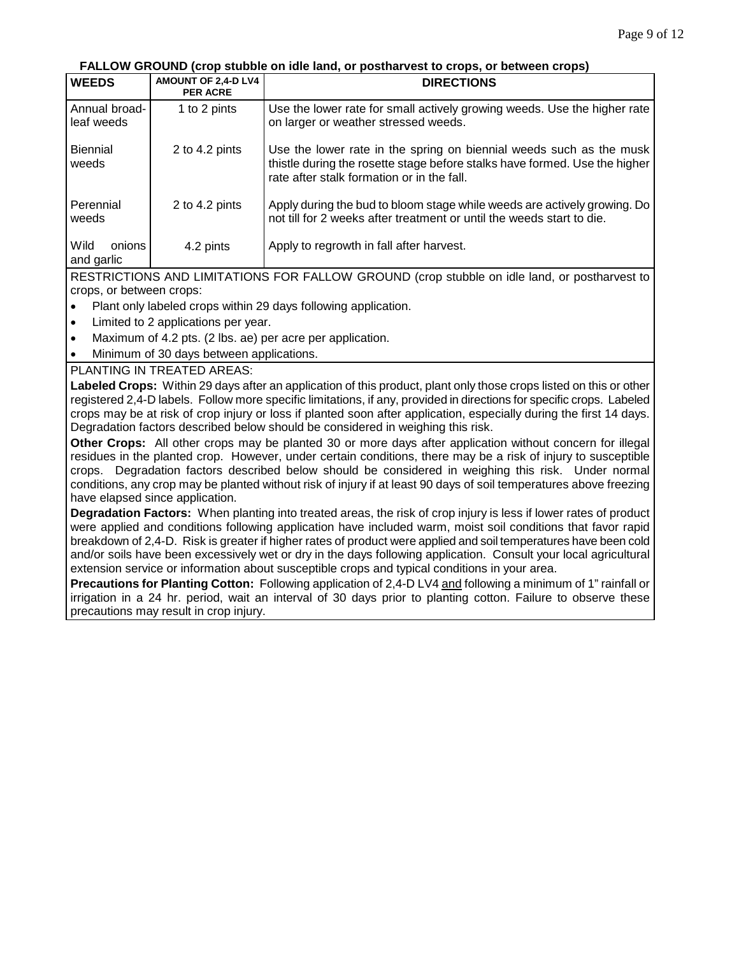**FALLOW GROUND (crop stubble on idle land, or postharvest to crops, or between crops)**

| <b>WEEDS</b>                 | AMOUNT OF 2,4-D LV4<br><b>PER ACRE</b> | <b>DIRECTIONS</b>                                                                                                                                                                               |
|------------------------------|----------------------------------------|-------------------------------------------------------------------------------------------------------------------------------------------------------------------------------------------------|
| Annual broad-<br>leaf weeds  | 1 to 2 pints                           | Use the lower rate for small actively growing weeds. Use the higher rate<br>on larger or weather stressed weeds.                                                                                |
| <b>Biennial</b><br>weeds     | 2 to 4.2 pints                         | Use the lower rate in the spring on biennial weeds such as the musk<br>thistle during the rosette stage before stalks have formed. Use the higher<br>rate after stalk formation or in the fall. |
| Perennial<br>weeds           | 2 to 4.2 pints                         | Apply during the bud to bloom stage while weeds are actively growing. Do<br>not till for 2 weeks after treatment or until the weeds start to die.                                               |
| Wild<br>onions<br>and garlic | 4.2 pints                              | Apply to regrowth in fall after harvest.                                                                                                                                                        |
|                              |                                        |                                                                                                                                                                                                 |

RESTRICTIONS AND LIMITATIONS FOR FALLOW GROUND (crop stubble on idle land, or postharvest to crops, or between crops:

- Plant only labeled crops within 29 days following application.
- Limited to 2 applications per year.
- Maximum of 4.2 pts. (2 lbs. ae) per acre per application.
- Minimum of 30 days between applications.

## PLANTING IN TREATED AREAS:

**Labeled Crops:** Within 29 days after an application of this product, plant only those crops listed on this or other registered 2,4-D labels. Follow more specific limitations, if any, provided in directions for specific crops. Labeled crops may be at risk of crop injury or loss if planted soon after application, especially during the first 14 days. Degradation factors described below should be considered in weighing this risk.

**Other Crops:** All other crops may be planted 30 or more days after application without concern for illegal residues in the planted crop. However, under certain conditions, there may be a risk of injury to susceptible crops. Degradation factors described below should be considered in weighing this risk. Under normal conditions, any crop may be planted without risk of injury if at least 90 days of soil temperatures above freezing have elapsed since application.

**Degradation Factors:** When planting into treated areas, the risk of crop injury is less if lower rates of product were applied and conditions following application have included warm, moist soil conditions that favor rapid breakdown of 2,4-D. Risk is greater if higher rates of product were applied and soil temperatures have been cold and/or soils have been excessively wet or dry in the days following application. Consult your local agricultural extension service or information about susceptible crops and typical conditions in your area.

**Precautions for Planting Cotton:** Following application of 2,4-D LV4 and following a minimum of 1" rainfall or irrigation in a 24 hr. period, wait an interval of 30 days prior to planting cotton. Failure to observe these precautions may result in crop injury.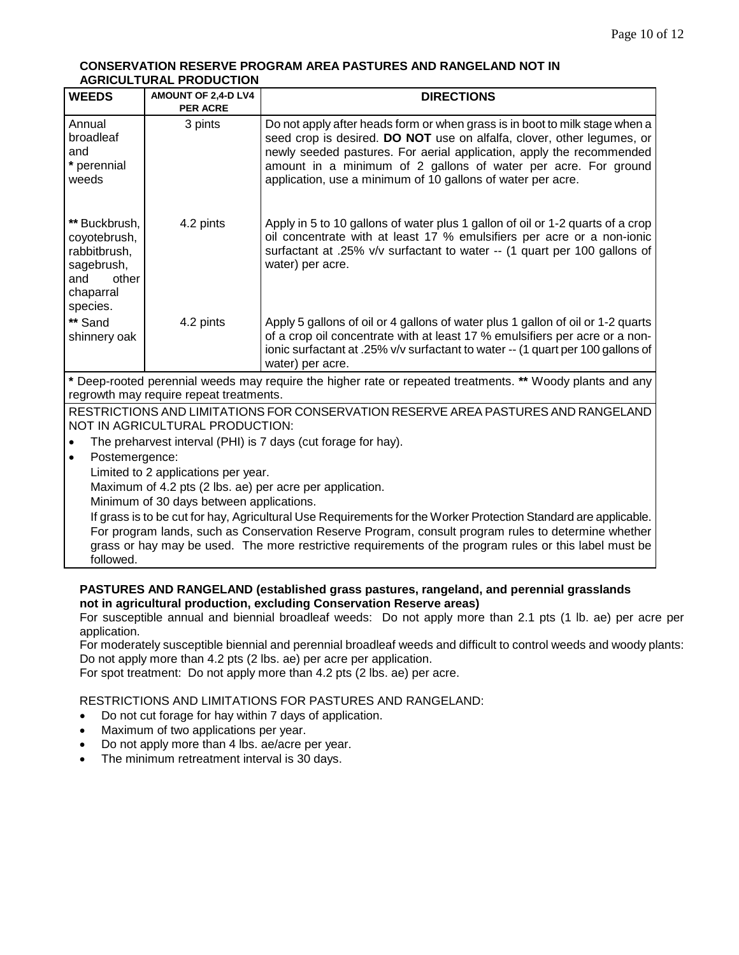#### **CONSERVATION RESERVE PROGRAM AREA PASTURES AND RANGELAND NOT IN AGRICULTURAL PRODUCTION**

| <b>WEEDS</b>                                                                                                         | AMOUNT OF 2,4-D LV4<br><b>PER ACRE</b>                                                                                                                                                                                | <b>DIRECTIONS</b>                                                                                                                                                                                                                                                                                                                                              |  |
|----------------------------------------------------------------------------------------------------------------------|-----------------------------------------------------------------------------------------------------------------------------------------------------------------------------------------------------------------------|----------------------------------------------------------------------------------------------------------------------------------------------------------------------------------------------------------------------------------------------------------------------------------------------------------------------------------------------------------------|--|
| Annual<br>broadleaf<br>and<br>* perennial<br>weeds                                                                   | 3 pints                                                                                                                                                                                                               | Do not apply after heads form or when grass is in boot to milk stage when a<br>seed crop is desired. DO NOT use on alfalfa, clover, other legumes, or<br>newly seeded pastures. For aerial application, apply the recommended<br>amount in a minimum of 2 gallons of water per acre. For ground<br>application, use a minimum of 10 gallons of water per acre. |  |
| ** Buckbrush,<br>coyotebrush,<br>rabbitbrush,<br>sagebrush,<br>other<br>and<br>chaparral<br>species.                 | 4.2 pints                                                                                                                                                                                                             | Apply in 5 to 10 gallons of water plus 1 gallon of oil or 1-2 quarts of a crop<br>oil concentrate with at least 17 % emulsifiers per acre or a non-ionic<br>surfactant at .25% v/v surfactant to water -- (1 quart per 100 gallons of<br>water) per acre.                                                                                                      |  |
| ** Sand<br>shinnery oak                                                                                              | 4.2 pints                                                                                                                                                                                                             | Apply 5 gallons of oil or 4 gallons of water plus 1 gallon of oil or 1-2 quarts<br>of a crop oil concentrate with at least 17 % emulsifiers per acre or a non-<br>ionic surfactant at .25% v/v surfactant to water -- (1 quart per 100 gallons of<br>water) per acre.                                                                                          |  |
|                                                                                                                      |                                                                                                                                                                                                                       | * Deep-rooted perennial weeds may require the higher rate or repeated treatments. ** Woody plants and any                                                                                                                                                                                                                                                      |  |
| regrowth may require repeat treatments.                                                                              |                                                                                                                                                                                                                       |                                                                                                                                                                                                                                                                                                                                                                |  |
| RESTRICTIONS AND LIMITATIONS FOR CONSERVATION RESERVE AREA PASTURES AND RANGELAND<br>NOT IN AGRICULTURAL PRODUCTION: |                                                                                                                                                                                                                       |                                                                                                                                                                                                                                                                                                                                                                |  |
| The preharvest interval (PHI) is 7 days (cut forage for hay).                                                        |                                                                                                                                                                                                                       |                                                                                                                                                                                                                                                                                                                                                                |  |
| Postemergence:<br>$\bullet$                                                                                          |                                                                                                                                                                                                                       |                                                                                                                                                                                                                                                                                                                                                                |  |
|                                                                                                                      | Limited to 2 applications per year.                                                                                                                                                                                   |                                                                                                                                                                                                                                                                                                                                                                |  |
|                                                                                                                      | Maximum of 4.2 pts (2 lbs. ae) per acre per application.                                                                                                                                                              |                                                                                                                                                                                                                                                                                                                                                                |  |
|                                                                                                                      | Minimum of 30 days between applications.                                                                                                                                                                              |                                                                                                                                                                                                                                                                                                                                                                |  |
|                                                                                                                      | If grass is to be cut for hay, Agricultural Use Requirements for the Worker Protection Standard are applicable.<br>Fernandore londe, aughter Concernation Decenic Dresson, concult program sules to determine whather |                                                                                                                                                                                                                                                                                                                                                                |  |

For program lands, such as Conservation Reserve Program, consult program rules to determine whether grass or hay may be used. The more restrictive requirements of the program rules or this label must be followed.

## **PASTURES AND RANGELAND (established grass pastures, rangeland, and perennial grasslands not in agricultural production, excluding Conservation Reserve areas)**

For susceptible annual and biennial broadleaf weeds: Do not apply more than 2.1 pts (1 lb. ae) per acre per application.

For moderately susceptible biennial and perennial broadleaf weeds and difficult to control weeds and woody plants: Do not apply more than 4.2 pts (2 lbs. ae) per acre per application.

For spot treatment: Do not apply more than 4.2 pts (2 lbs. ae) per acre.

## RESTRICTIONS AND LIMITATIONS FOR PASTURES AND RANGELAND:

- Do not cut forage for hay within 7 days of application.
- Maximum of two applications per year.
- Do not apply more than 4 lbs. ae/acre per year.
- The minimum retreatment interval is 30 days.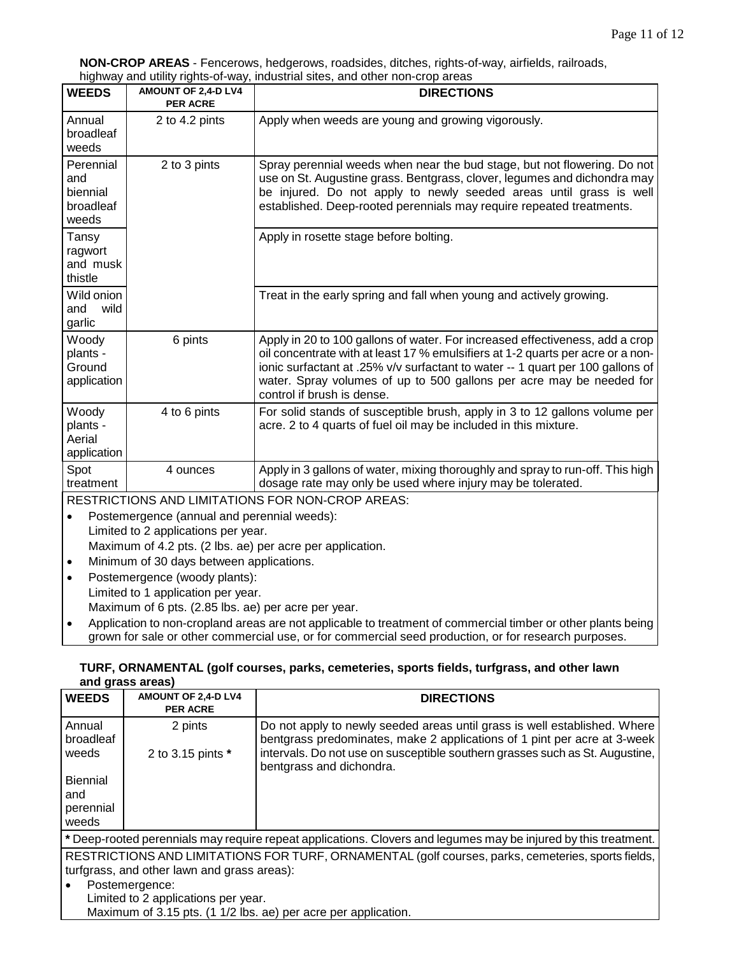**NON-CROP AREAS** - Fencerows, hedgerows, roadsides, ditches, rights-of-way, airfields, railroads, highway and utility rights-of-way, industrial sites, and other non-crop areas

| y<br><b>WEEDS</b>                                  | AMOUNT OF 2,4-D LV4<br><b>PER ACRE</b> | <b>DIRECTIONS</b>                                                                                                                                                                                                                                                                                                                                       |
|----------------------------------------------------|----------------------------------------|---------------------------------------------------------------------------------------------------------------------------------------------------------------------------------------------------------------------------------------------------------------------------------------------------------------------------------------------------------|
| Annual<br>broadleaf<br>weeds                       | 2 to 4.2 pints                         | Apply when weeds are young and growing vigorously.                                                                                                                                                                                                                                                                                                      |
| Perennial<br>and<br>biennial<br>broadleaf<br>weeds | 2 to 3 pints                           | Spray perennial weeds when near the bud stage, but not flowering. Do not<br>use on St. Augustine grass. Bentgrass, clover, legumes and dichondra may<br>be injured. Do not apply to newly seeded areas until grass is well<br>established. Deep-rooted perennials may require repeated treatments.                                                      |
| Tansy<br>ragwort<br>and musk<br>thistle            |                                        | Apply in rosette stage before bolting.                                                                                                                                                                                                                                                                                                                  |
| Wild onion<br>wild<br>and<br>garlic                |                                        | Treat in the early spring and fall when young and actively growing.                                                                                                                                                                                                                                                                                     |
| Woody<br>plants -<br>Ground<br>application         | 6 pints                                | Apply in 20 to 100 gallons of water. For increased effectiveness, add a crop<br>oil concentrate with at least 17 % emulsifiers at 1-2 quarts per acre or a non-<br>ionic surfactant at .25% v/v surfactant to water -- 1 quart per 100 gallons of<br>water. Spray volumes of up to 500 gallons per acre may be needed for<br>control if brush is dense. |
| Woody<br>plants -<br>Aerial<br>application         | 4 to 6 pints                           | For solid stands of susceptible brush, apply in 3 to 12 gallons volume per<br>acre. 2 to 4 quarts of fuel oil may be included in this mixture.                                                                                                                                                                                                          |
| Spot<br>treatment                                  | 4 ounces                               | Apply in 3 gallons of water, mixing thoroughly and spray to run-off. This high<br>dosage rate may only be used where injury may be tolerated.                                                                                                                                                                                                           |

RESTRICTIONS AND LIMITATIONS FOR NON-CROP AREAS:

- Postemergence (annual and perennial weeds): Limited to 2 applications per year. Maximum of 4.2 pts. (2 lbs. ae) per acre per application.
- Minimum of 30 days between applications.
- Postemergence (woody plants): Limited to 1 application per year. Maximum of 6 pts. (2.85 lbs. ae) per acre per year.
- Application to non-cropland areas are not applicable to treatment of commercial timber or other plants being grown for sale or other commercial use, or for commercial seed production, or for research purposes.

## **TURF, ORNAMENTAL (golf courses, parks, cemeteries, sports fields, turfgrass, and other lawn and grass areas)**

| <b>WEEDS</b>                               | AMOUNT OF 2,4-D LV4<br><b>PER ACRE</b> | <b>DIRECTIONS</b>                                                                                                                                     |
|--------------------------------------------|----------------------------------------|-------------------------------------------------------------------------------------------------------------------------------------------------------|
| Annual<br>broadleaf                        | 2 pints                                | Do not apply to newly seeded areas until grass is well established. Where<br>bentgrass predominates, make 2 applications of 1 pint per acre at 3-week |
| weeds                                      | 2 to 3.15 pints *                      | intervals. Do not use on susceptible southern grasses such as St. Augustine,<br>bentgrass and dichondra.                                              |
| <b>Biennial</b><br>and                     |                                        |                                                                                                                                                       |
| perennial<br>weeds<br>$\sim$ $\sim$ $\sim$ | . .                                    | $\sim$<br>. .<br>.                                                                                                                                    |

**\*** Deep-rooted perennials may require repeat applications. Clovers and legumes may be injured by this treatment.

RESTRICTIONS AND LIMITATIONS FOR TURF, ORNAMENTAL (golf courses, parks, cemeteries, sports fields, turfgrass, and other lawn and grass areas):

• Postemergence: Limited to 2 applications per year. Maximum of 3.15 pts. (1 1/2 lbs. ae) per acre per application.